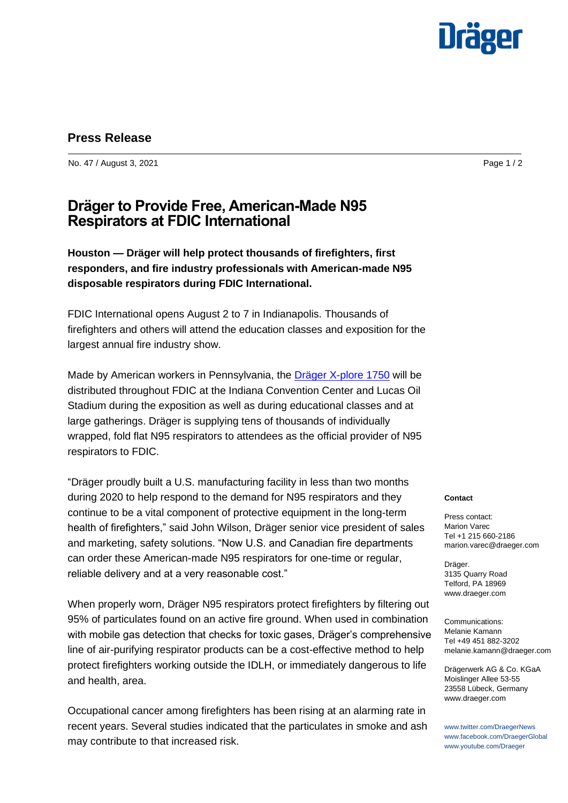

## **Press Release**

No. 47 / August 3, 2021 **Page 1 / 2** 

# **Dräger to Provide Free, American-Made N95 Respirators at FDIC International**

**Houston — Dräger will help protect thousands of firefighters, first responders, and fire industry professionals with American-made N95 disposable respirators during FDIC International.**

FDIC International opens August 2 to 7 in Indianapolis. Thousands of firefighters and others will attend the education classes and exposition for the largest annual fire industry show.

Made by American workers in Pennsylvania, the [Dräger X-plore 1750](https://www.draeger.com/en-us_us/Safety/Federal-Government-Solutions?cid=pr-us-2021-08-03-fdic-n95-respirators) will be distributed throughout FDIC at the Indiana Convention Center and Lucas Oil Stadium during the exposition as well as during educational classes and at large gatherings. Dräger is supplying tens of thousands of individually wrapped, fold flat N95 respirators to attendees as the official provider of N95 respirators to FDIC.

"Dräger proudly built a U.S. manufacturing facility in less than two months during 2020 to help respond to the demand for N95 respirators and they continue to be a vital component of protective equipment in the long-term health of firefighters," said John Wilson, Dräger senior vice president of sales and marketing, safety solutions. "Now U.S. and Canadian fire departments can order these American-made N95 respirators for one-time or regular, reliable delivery and at a very reasonable cost."

When properly worn, Dräger N95 respirators protect firefighters by filtering out 95% of particulates found on an active fire ground. When used in combination with mobile gas detection that checks for toxic gases, Dräger's comprehensive line of air-purifying respirator products can be a cost-effective method to help protect firefighters working outside the IDLH, or immediately dangerous to life and health, area.

Occupational cancer among firefighters has been rising at an alarming rate in recent years. Several studies indicated that the particulates in smoke and ash may contribute to that increased risk.

#### **Contact**

Press contact: Marion Varec Tel +1 215 660-2186 marion.varec@draeger.com

Dräger. 3135 Quarry Road Telford, PA 18969 www.draeger.com

Communications: Melanie Kamann Tel +49 451 882-3202 melanie.kamann@draeger.com

Drägerwerk AG & Co. KGaA Moislinger Allee 53-55 23558 Lübeck, Germany www.draeger.com

www.twitter.com/DraegerNews www.facebook.com/DraegerGlobal www.youtube.com/Draeger